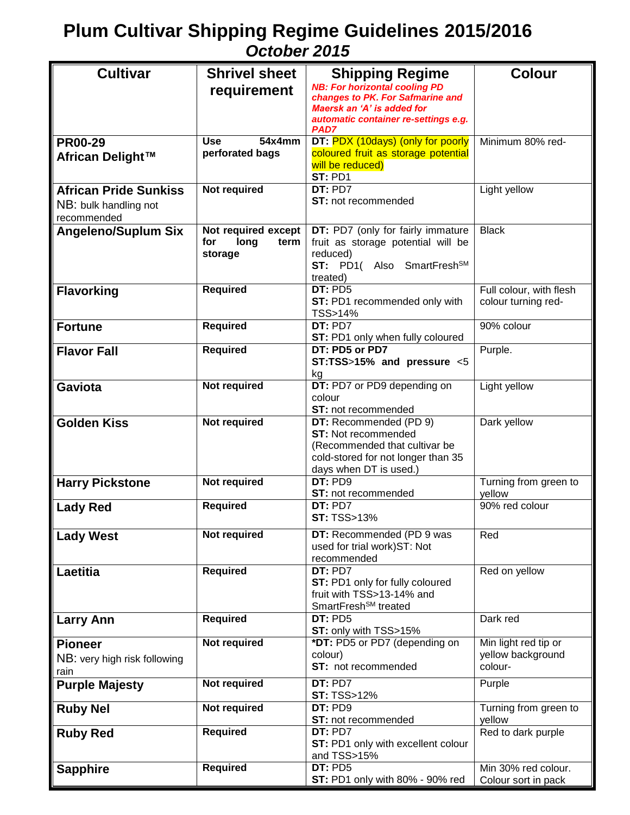## **Plum Cultivar Shipping Regime Guidelines 2015/2016**  *October 2015*

| <b>NB: For horizontal cooling PD</b><br>requirement<br>changes to PK. For Safmarine and<br>Maersk an 'A' is added for<br>automatic container re-settings e.g.<br>PAD7<br>54x4mm<br>DT: PDX (10days) (only for poorly<br>Minimum 80% red-<br><b>PR00-29</b><br><b>Use</b><br>perforated bags<br>coloured fruit as storage potential<br>African Delight™<br>will be reduced)<br>ST: PD1<br><b>Not required</b><br>DT:PD7<br>Light yellow<br><b>African Pride Sunkiss</b><br>ST: not recommended<br>NB: bulk handling not<br>recommended<br>Not required except<br>DT: PD7 (only for fairly immature<br><b>Black</b><br><b>Angeleno/Suplum Six</b><br>fruit as storage potential will be<br>for<br>long<br>term<br>reduced)<br>storage<br>ST: PD1( Also SmartFreshSM<br>treated)<br><b>Required</b><br>DT:PD5<br>Full colour, with flesh<br><b>Flavorking</b><br>colour turning red-<br>ST: PD1 recommended only with<br>TSS>14%<br><b>Required</b><br>90% colour<br>DT: PD7<br><b>Fortune</b><br>ST: PD1 only when fully coloured<br>DT: PD5 or PD7<br><b>Required</b><br>Purple.<br><b>Flavor Fall</b><br>ST:TSS>15% and pressure <5<br>kg<br>Not required<br>DT: PD7 or PD9 depending on<br>Light yellow<br>Gaviota<br>colour<br>ST: not recommended<br><b>Golden Kiss</b><br>Not required<br>Dark yellow<br>DT: Recommended (PD 9)<br><b>ST: Not recommended</b><br>(Recommended that cultivar be<br>cold-stored for not longer than 35<br>days when DT is used.)<br>DT: PD9<br><b>Not required</b><br>Turning from green to<br><b>Harry Pickstone</b><br>ST: not recommended<br>yellow<br><b>Required</b><br>DT: PD7<br>90% red colour<br><b>Lady Red</b><br><b>ST: TSS&gt;13%</b><br>Not required<br>DT: Recommended (PD 9 was<br>Red<br><b>Lady West</b><br>used for trial work) ST: Not<br>recommended<br><b>Required</b><br>DT: PD7<br>Red on yellow<br>Laetitia<br>ST: PD1 only for fully coloured<br>fruit with TSS>13-14% and<br>SmartFresh <sup>SM</sup> treated<br><b>Required</b><br>DT: PD5<br>Dark red<br><b>Larry Ann</b><br>ST: only with TSS>15%<br>*DT: PD5 or PD7 (depending on<br>Not required<br>Min light red tip or<br><b>Pioneer</b><br>yellow background<br>colour)<br>NB: very high risk following<br>ST: not recommended<br>colour-<br>rain<br>Not required<br>DT: PD7<br>Purple<br><b>Purple Majesty</b><br><b>ST: TSS&gt;12%</b><br><b>Not required</b><br>DT: PD9<br>Turning from green to<br><b>Ruby Nel</b><br>ST: not recommended<br>yellow<br><b>Required</b><br>DT: PD7<br>Red to dark purple<br><b>Ruby Red</b><br>ST: PD1 only with excellent colour<br>and TSS>15%<br><b>Required</b><br>DT: PD5<br>Min 30% red colour.<br><b>Sapphire</b> | <b>Cultivar</b> | <b>Shrivel sheet</b> | <b>Shipping Regime</b>                 | <b>Colour</b>       |
|----------------------------------------------------------------------------------------------------------------------------------------------------------------------------------------------------------------------------------------------------------------------------------------------------------------------------------------------------------------------------------------------------------------------------------------------------------------------------------------------------------------------------------------------------------------------------------------------------------------------------------------------------------------------------------------------------------------------------------------------------------------------------------------------------------------------------------------------------------------------------------------------------------------------------------------------------------------------------------------------------------------------------------------------------------------------------------------------------------------------------------------------------------------------------------------------------------------------------------------------------------------------------------------------------------------------------------------------------------------------------------------------------------------------------------------------------------------------------------------------------------------------------------------------------------------------------------------------------------------------------------------------------------------------------------------------------------------------------------------------------------------------------------------------------------------------------------------------------------------------------------------------------------------------------------------------------------------------------------------------------------------------------------------------------------------------------------------------------------------------------------------------------------------------------------------------------------------------------------------------------------------------------------------------------------------------------------------------------------------------------------------------------------------------------------------------------------------------------------------------------------------------------------------------------------------------------------------------------------------------------------------------------------------------------------|-----------------|----------------------|----------------------------------------|---------------------|
|                                                                                                                                                                                                                                                                                                                                                                                                                                                                                                                                                                                                                                                                                                                                                                                                                                                                                                                                                                                                                                                                                                                                                                                                                                                                                                                                                                                                                                                                                                                                                                                                                                                                                                                                                                                                                                                                                                                                                                                                                                                                                                                                                                                                                                                                                                                                                                                                                                                                                                                                                                                                                                                                                  |                 |                      |                                        |                     |
|                                                                                                                                                                                                                                                                                                                                                                                                                                                                                                                                                                                                                                                                                                                                                                                                                                                                                                                                                                                                                                                                                                                                                                                                                                                                                                                                                                                                                                                                                                                                                                                                                                                                                                                                                                                                                                                                                                                                                                                                                                                                                                                                                                                                                                                                                                                                                                                                                                                                                                                                                                                                                                                                                  |                 |                      |                                        |                     |
|                                                                                                                                                                                                                                                                                                                                                                                                                                                                                                                                                                                                                                                                                                                                                                                                                                                                                                                                                                                                                                                                                                                                                                                                                                                                                                                                                                                                                                                                                                                                                                                                                                                                                                                                                                                                                                                                                                                                                                                                                                                                                                                                                                                                                                                                                                                                                                                                                                                                                                                                                                                                                                                                                  |                 |                      |                                        |                     |
|                                                                                                                                                                                                                                                                                                                                                                                                                                                                                                                                                                                                                                                                                                                                                                                                                                                                                                                                                                                                                                                                                                                                                                                                                                                                                                                                                                                                                                                                                                                                                                                                                                                                                                                                                                                                                                                                                                                                                                                                                                                                                                                                                                                                                                                                                                                                                                                                                                                                                                                                                                                                                                                                                  |                 |                      |                                        |                     |
|                                                                                                                                                                                                                                                                                                                                                                                                                                                                                                                                                                                                                                                                                                                                                                                                                                                                                                                                                                                                                                                                                                                                                                                                                                                                                                                                                                                                                                                                                                                                                                                                                                                                                                                                                                                                                                                                                                                                                                                                                                                                                                                                                                                                                                                                                                                                                                                                                                                                                                                                                                                                                                                                                  |                 |                      |                                        |                     |
|                                                                                                                                                                                                                                                                                                                                                                                                                                                                                                                                                                                                                                                                                                                                                                                                                                                                                                                                                                                                                                                                                                                                                                                                                                                                                                                                                                                                                                                                                                                                                                                                                                                                                                                                                                                                                                                                                                                                                                                                                                                                                                                                                                                                                                                                                                                                                                                                                                                                                                                                                                                                                                                                                  |                 |                      |                                        |                     |
|                                                                                                                                                                                                                                                                                                                                                                                                                                                                                                                                                                                                                                                                                                                                                                                                                                                                                                                                                                                                                                                                                                                                                                                                                                                                                                                                                                                                                                                                                                                                                                                                                                                                                                                                                                                                                                                                                                                                                                                                                                                                                                                                                                                                                                                                                                                                                                                                                                                                                                                                                                                                                                                                                  |                 |                      |                                        |                     |
|                                                                                                                                                                                                                                                                                                                                                                                                                                                                                                                                                                                                                                                                                                                                                                                                                                                                                                                                                                                                                                                                                                                                                                                                                                                                                                                                                                                                                                                                                                                                                                                                                                                                                                                                                                                                                                                                                                                                                                                                                                                                                                                                                                                                                                                                                                                                                                                                                                                                                                                                                                                                                                                                                  |                 |                      |                                        |                     |
|                                                                                                                                                                                                                                                                                                                                                                                                                                                                                                                                                                                                                                                                                                                                                                                                                                                                                                                                                                                                                                                                                                                                                                                                                                                                                                                                                                                                                                                                                                                                                                                                                                                                                                                                                                                                                                                                                                                                                                                                                                                                                                                                                                                                                                                                                                                                                                                                                                                                                                                                                                                                                                                                                  |                 |                      |                                        |                     |
|                                                                                                                                                                                                                                                                                                                                                                                                                                                                                                                                                                                                                                                                                                                                                                                                                                                                                                                                                                                                                                                                                                                                                                                                                                                                                                                                                                                                                                                                                                                                                                                                                                                                                                                                                                                                                                                                                                                                                                                                                                                                                                                                                                                                                                                                                                                                                                                                                                                                                                                                                                                                                                                                                  |                 |                      |                                        |                     |
|                                                                                                                                                                                                                                                                                                                                                                                                                                                                                                                                                                                                                                                                                                                                                                                                                                                                                                                                                                                                                                                                                                                                                                                                                                                                                                                                                                                                                                                                                                                                                                                                                                                                                                                                                                                                                                                                                                                                                                                                                                                                                                                                                                                                                                                                                                                                                                                                                                                                                                                                                                                                                                                                                  |                 |                      |                                        |                     |
|                                                                                                                                                                                                                                                                                                                                                                                                                                                                                                                                                                                                                                                                                                                                                                                                                                                                                                                                                                                                                                                                                                                                                                                                                                                                                                                                                                                                                                                                                                                                                                                                                                                                                                                                                                                                                                                                                                                                                                                                                                                                                                                                                                                                                                                                                                                                                                                                                                                                                                                                                                                                                                                                                  |                 |                      |                                        |                     |
|                                                                                                                                                                                                                                                                                                                                                                                                                                                                                                                                                                                                                                                                                                                                                                                                                                                                                                                                                                                                                                                                                                                                                                                                                                                                                                                                                                                                                                                                                                                                                                                                                                                                                                                                                                                                                                                                                                                                                                                                                                                                                                                                                                                                                                                                                                                                                                                                                                                                                                                                                                                                                                                                                  |                 |                      |                                        |                     |
|                                                                                                                                                                                                                                                                                                                                                                                                                                                                                                                                                                                                                                                                                                                                                                                                                                                                                                                                                                                                                                                                                                                                                                                                                                                                                                                                                                                                                                                                                                                                                                                                                                                                                                                                                                                                                                                                                                                                                                                                                                                                                                                                                                                                                                                                                                                                                                                                                                                                                                                                                                                                                                                                                  |                 |                      |                                        |                     |
|                                                                                                                                                                                                                                                                                                                                                                                                                                                                                                                                                                                                                                                                                                                                                                                                                                                                                                                                                                                                                                                                                                                                                                                                                                                                                                                                                                                                                                                                                                                                                                                                                                                                                                                                                                                                                                                                                                                                                                                                                                                                                                                                                                                                                                                                                                                                                                                                                                                                                                                                                                                                                                                                                  |                 |                      |                                        |                     |
|                                                                                                                                                                                                                                                                                                                                                                                                                                                                                                                                                                                                                                                                                                                                                                                                                                                                                                                                                                                                                                                                                                                                                                                                                                                                                                                                                                                                                                                                                                                                                                                                                                                                                                                                                                                                                                                                                                                                                                                                                                                                                                                                                                                                                                                                                                                                                                                                                                                                                                                                                                                                                                                                                  |                 |                      |                                        |                     |
|                                                                                                                                                                                                                                                                                                                                                                                                                                                                                                                                                                                                                                                                                                                                                                                                                                                                                                                                                                                                                                                                                                                                                                                                                                                                                                                                                                                                                                                                                                                                                                                                                                                                                                                                                                                                                                                                                                                                                                                                                                                                                                                                                                                                                                                                                                                                                                                                                                                                                                                                                                                                                                                                                  |                 |                      |                                        |                     |
|                                                                                                                                                                                                                                                                                                                                                                                                                                                                                                                                                                                                                                                                                                                                                                                                                                                                                                                                                                                                                                                                                                                                                                                                                                                                                                                                                                                                                                                                                                                                                                                                                                                                                                                                                                                                                                                                                                                                                                                                                                                                                                                                                                                                                                                                                                                                                                                                                                                                                                                                                                                                                                                                                  |                 |                      |                                        |                     |
|                                                                                                                                                                                                                                                                                                                                                                                                                                                                                                                                                                                                                                                                                                                                                                                                                                                                                                                                                                                                                                                                                                                                                                                                                                                                                                                                                                                                                                                                                                                                                                                                                                                                                                                                                                                                                                                                                                                                                                                                                                                                                                                                                                                                                                                                                                                                                                                                                                                                                                                                                                                                                                                                                  |                 |                      |                                        |                     |
|                                                                                                                                                                                                                                                                                                                                                                                                                                                                                                                                                                                                                                                                                                                                                                                                                                                                                                                                                                                                                                                                                                                                                                                                                                                                                                                                                                                                                                                                                                                                                                                                                                                                                                                                                                                                                                                                                                                                                                                                                                                                                                                                                                                                                                                                                                                                                                                                                                                                                                                                                                                                                                                                                  |                 |                      |                                        |                     |
|                                                                                                                                                                                                                                                                                                                                                                                                                                                                                                                                                                                                                                                                                                                                                                                                                                                                                                                                                                                                                                                                                                                                                                                                                                                                                                                                                                                                                                                                                                                                                                                                                                                                                                                                                                                                                                                                                                                                                                                                                                                                                                                                                                                                                                                                                                                                                                                                                                                                                                                                                                                                                                                                                  |                 |                      |                                        |                     |
|                                                                                                                                                                                                                                                                                                                                                                                                                                                                                                                                                                                                                                                                                                                                                                                                                                                                                                                                                                                                                                                                                                                                                                                                                                                                                                                                                                                                                                                                                                                                                                                                                                                                                                                                                                                                                                                                                                                                                                                                                                                                                                                                                                                                                                                                                                                                                                                                                                                                                                                                                                                                                                                                                  |                 |                      |                                        |                     |
|                                                                                                                                                                                                                                                                                                                                                                                                                                                                                                                                                                                                                                                                                                                                                                                                                                                                                                                                                                                                                                                                                                                                                                                                                                                                                                                                                                                                                                                                                                                                                                                                                                                                                                                                                                                                                                                                                                                                                                                                                                                                                                                                                                                                                                                                                                                                                                                                                                                                                                                                                                                                                                                                                  |                 |                      |                                        |                     |
|                                                                                                                                                                                                                                                                                                                                                                                                                                                                                                                                                                                                                                                                                                                                                                                                                                                                                                                                                                                                                                                                                                                                                                                                                                                                                                                                                                                                                                                                                                                                                                                                                                                                                                                                                                                                                                                                                                                                                                                                                                                                                                                                                                                                                                                                                                                                                                                                                                                                                                                                                                                                                                                                                  |                 |                      |                                        |                     |
|                                                                                                                                                                                                                                                                                                                                                                                                                                                                                                                                                                                                                                                                                                                                                                                                                                                                                                                                                                                                                                                                                                                                                                                                                                                                                                                                                                                                                                                                                                                                                                                                                                                                                                                                                                                                                                                                                                                                                                                                                                                                                                                                                                                                                                                                                                                                                                                                                                                                                                                                                                                                                                                                                  |                 |                      |                                        |                     |
|                                                                                                                                                                                                                                                                                                                                                                                                                                                                                                                                                                                                                                                                                                                                                                                                                                                                                                                                                                                                                                                                                                                                                                                                                                                                                                                                                                                                                                                                                                                                                                                                                                                                                                                                                                                                                                                                                                                                                                                                                                                                                                                                                                                                                                                                                                                                                                                                                                                                                                                                                                                                                                                                                  |                 |                      |                                        |                     |
|                                                                                                                                                                                                                                                                                                                                                                                                                                                                                                                                                                                                                                                                                                                                                                                                                                                                                                                                                                                                                                                                                                                                                                                                                                                                                                                                                                                                                                                                                                                                                                                                                                                                                                                                                                                                                                                                                                                                                                                                                                                                                                                                                                                                                                                                                                                                                                                                                                                                                                                                                                                                                                                                                  |                 |                      |                                        |                     |
|                                                                                                                                                                                                                                                                                                                                                                                                                                                                                                                                                                                                                                                                                                                                                                                                                                                                                                                                                                                                                                                                                                                                                                                                                                                                                                                                                                                                                                                                                                                                                                                                                                                                                                                                                                                                                                                                                                                                                                                                                                                                                                                                                                                                                                                                                                                                                                                                                                                                                                                                                                                                                                                                                  |                 |                      |                                        |                     |
|                                                                                                                                                                                                                                                                                                                                                                                                                                                                                                                                                                                                                                                                                                                                                                                                                                                                                                                                                                                                                                                                                                                                                                                                                                                                                                                                                                                                                                                                                                                                                                                                                                                                                                                                                                                                                                                                                                                                                                                                                                                                                                                                                                                                                                                                                                                                                                                                                                                                                                                                                                                                                                                                                  |                 |                      |                                        |                     |
|                                                                                                                                                                                                                                                                                                                                                                                                                                                                                                                                                                                                                                                                                                                                                                                                                                                                                                                                                                                                                                                                                                                                                                                                                                                                                                                                                                                                                                                                                                                                                                                                                                                                                                                                                                                                                                                                                                                                                                                                                                                                                                                                                                                                                                                                                                                                                                                                                                                                                                                                                                                                                                                                                  |                 |                      |                                        |                     |
|                                                                                                                                                                                                                                                                                                                                                                                                                                                                                                                                                                                                                                                                                                                                                                                                                                                                                                                                                                                                                                                                                                                                                                                                                                                                                                                                                                                                                                                                                                                                                                                                                                                                                                                                                                                                                                                                                                                                                                                                                                                                                                                                                                                                                                                                                                                                                                                                                                                                                                                                                                                                                                                                                  |                 |                      |                                        |                     |
|                                                                                                                                                                                                                                                                                                                                                                                                                                                                                                                                                                                                                                                                                                                                                                                                                                                                                                                                                                                                                                                                                                                                                                                                                                                                                                                                                                                                                                                                                                                                                                                                                                                                                                                                                                                                                                                                                                                                                                                                                                                                                                                                                                                                                                                                                                                                                                                                                                                                                                                                                                                                                                                                                  |                 |                      |                                        |                     |
|                                                                                                                                                                                                                                                                                                                                                                                                                                                                                                                                                                                                                                                                                                                                                                                                                                                                                                                                                                                                                                                                                                                                                                                                                                                                                                                                                                                                                                                                                                                                                                                                                                                                                                                                                                                                                                                                                                                                                                                                                                                                                                                                                                                                                                                                                                                                                                                                                                                                                                                                                                                                                                                                                  |                 |                      |                                        |                     |
|                                                                                                                                                                                                                                                                                                                                                                                                                                                                                                                                                                                                                                                                                                                                                                                                                                                                                                                                                                                                                                                                                                                                                                                                                                                                                                                                                                                                                                                                                                                                                                                                                                                                                                                                                                                                                                                                                                                                                                                                                                                                                                                                                                                                                                                                                                                                                                                                                                                                                                                                                                                                                                                                                  |                 |                      |                                        |                     |
|                                                                                                                                                                                                                                                                                                                                                                                                                                                                                                                                                                                                                                                                                                                                                                                                                                                                                                                                                                                                                                                                                                                                                                                                                                                                                                                                                                                                                                                                                                                                                                                                                                                                                                                                                                                                                                                                                                                                                                                                                                                                                                                                                                                                                                                                                                                                                                                                                                                                                                                                                                                                                                                                                  |                 |                      |                                        |                     |
|                                                                                                                                                                                                                                                                                                                                                                                                                                                                                                                                                                                                                                                                                                                                                                                                                                                                                                                                                                                                                                                                                                                                                                                                                                                                                                                                                                                                                                                                                                                                                                                                                                                                                                                                                                                                                                                                                                                                                                                                                                                                                                                                                                                                                                                                                                                                                                                                                                                                                                                                                                                                                                                                                  |                 |                      |                                        |                     |
|                                                                                                                                                                                                                                                                                                                                                                                                                                                                                                                                                                                                                                                                                                                                                                                                                                                                                                                                                                                                                                                                                                                                                                                                                                                                                                                                                                                                                                                                                                                                                                                                                                                                                                                                                                                                                                                                                                                                                                                                                                                                                                                                                                                                                                                                                                                                                                                                                                                                                                                                                                                                                                                                                  |                 |                      |                                        |                     |
|                                                                                                                                                                                                                                                                                                                                                                                                                                                                                                                                                                                                                                                                                                                                                                                                                                                                                                                                                                                                                                                                                                                                                                                                                                                                                                                                                                                                                                                                                                                                                                                                                                                                                                                                                                                                                                                                                                                                                                                                                                                                                                                                                                                                                                                                                                                                                                                                                                                                                                                                                                                                                                                                                  |                 |                      |                                        |                     |
|                                                                                                                                                                                                                                                                                                                                                                                                                                                                                                                                                                                                                                                                                                                                                                                                                                                                                                                                                                                                                                                                                                                                                                                                                                                                                                                                                                                                                                                                                                                                                                                                                                                                                                                                                                                                                                                                                                                                                                                                                                                                                                                                                                                                                                                                                                                                                                                                                                                                                                                                                                                                                                                                                  |                 |                      |                                        |                     |
|                                                                                                                                                                                                                                                                                                                                                                                                                                                                                                                                                                                                                                                                                                                                                                                                                                                                                                                                                                                                                                                                                                                                                                                                                                                                                                                                                                                                                                                                                                                                                                                                                                                                                                                                                                                                                                                                                                                                                                                                                                                                                                                                                                                                                                                                                                                                                                                                                                                                                                                                                                                                                                                                                  |                 |                      |                                        |                     |
|                                                                                                                                                                                                                                                                                                                                                                                                                                                                                                                                                                                                                                                                                                                                                                                                                                                                                                                                                                                                                                                                                                                                                                                                                                                                                                                                                                                                                                                                                                                                                                                                                                                                                                                                                                                                                                                                                                                                                                                                                                                                                                                                                                                                                                                                                                                                                                                                                                                                                                                                                                                                                                                                                  |                 |                      |                                        |                     |
|                                                                                                                                                                                                                                                                                                                                                                                                                                                                                                                                                                                                                                                                                                                                                                                                                                                                                                                                                                                                                                                                                                                                                                                                                                                                                                                                                                                                                                                                                                                                                                                                                                                                                                                                                                                                                                                                                                                                                                                                                                                                                                                                                                                                                                                                                                                                                                                                                                                                                                                                                                                                                                                                                  |                 |                      |                                        |                     |
|                                                                                                                                                                                                                                                                                                                                                                                                                                                                                                                                                                                                                                                                                                                                                                                                                                                                                                                                                                                                                                                                                                                                                                                                                                                                                                                                                                                                                                                                                                                                                                                                                                                                                                                                                                                                                                                                                                                                                                                                                                                                                                                                                                                                                                                                                                                                                                                                                                                                                                                                                                                                                                                                                  |                 |                      |                                        |                     |
|                                                                                                                                                                                                                                                                                                                                                                                                                                                                                                                                                                                                                                                                                                                                                                                                                                                                                                                                                                                                                                                                                                                                                                                                                                                                                                                                                                                                                                                                                                                                                                                                                                                                                                                                                                                                                                                                                                                                                                                                                                                                                                                                                                                                                                                                                                                                                                                                                                                                                                                                                                                                                                                                                  |                 |                      |                                        |                     |
|                                                                                                                                                                                                                                                                                                                                                                                                                                                                                                                                                                                                                                                                                                                                                                                                                                                                                                                                                                                                                                                                                                                                                                                                                                                                                                                                                                                                                                                                                                                                                                                                                                                                                                                                                                                                                                                                                                                                                                                                                                                                                                                                                                                                                                                                                                                                                                                                                                                                                                                                                                                                                                                                                  |                 |                      |                                        |                     |
|                                                                                                                                                                                                                                                                                                                                                                                                                                                                                                                                                                                                                                                                                                                                                                                                                                                                                                                                                                                                                                                                                                                                                                                                                                                                                                                                                                                                                                                                                                                                                                                                                                                                                                                                                                                                                                                                                                                                                                                                                                                                                                                                                                                                                                                                                                                                                                                                                                                                                                                                                                                                                                                                                  |                 |                      |                                        |                     |
|                                                                                                                                                                                                                                                                                                                                                                                                                                                                                                                                                                                                                                                                                                                                                                                                                                                                                                                                                                                                                                                                                                                                                                                                                                                                                                                                                                                                                                                                                                                                                                                                                                                                                                                                                                                                                                                                                                                                                                                                                                                                                                                                                                                                                                                                                                                                                                                                                                                                                                                                                                                                                                                                                  |                 |                      |                                        |                     |
|                                                                                                                                                                                                                                                                                                                                                                                                                                                                                                                                                                                                                                                                                                                                                                                                                                                                                                                                                                                                                                                                                                                                                                                                                                                                                                                                                                                                                                                                                                                                                                                                                                                                                                                                                                                                                                                                                                                                                                                                                                                                                                                                                                                                                                                                                                                                                                                                                                                                                                                                                                                                                                                                                  |                 |                      | <b>ST: PD1 only with 80% - 90% red</b> | Colour sort in pack |